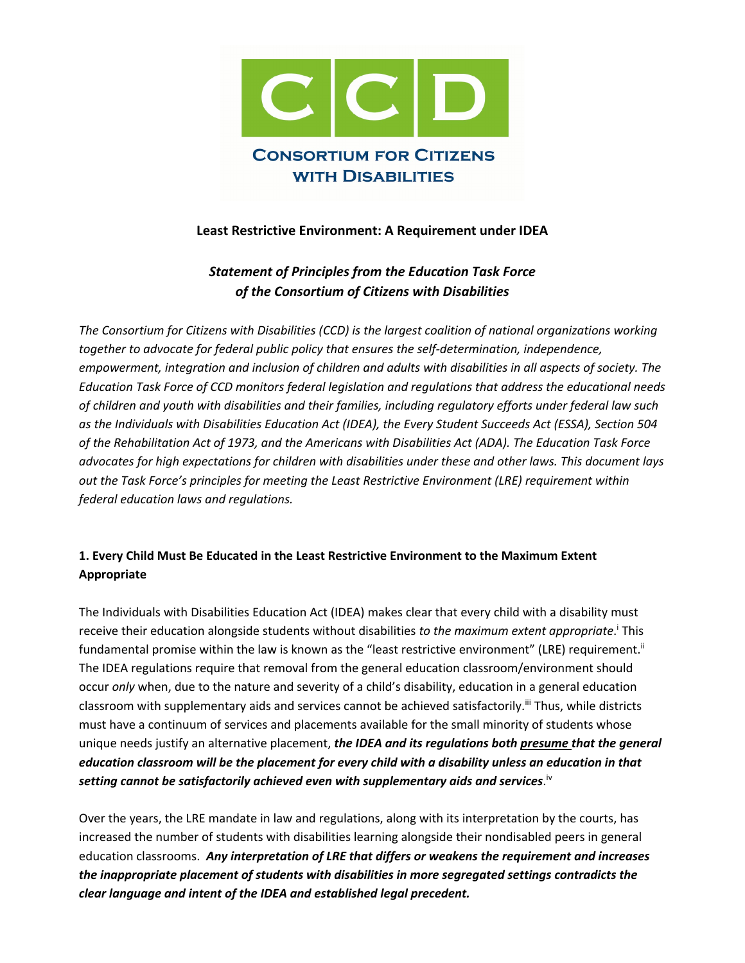

# **Least Restrictive Environment: A Requirement under IDEA**

# *Statement of Principles from the Education Task Force of the Consortium of Citizens with Disabilities*

*The Consortium for Citizens with Disabilities (CCD) is the largest coalition of national organizations working together to advocate for federal public policy that ensures the self-determination, independence, empowerment, integration and inclusion of children and adults with disabilities in all aspects of society. The Education Task Force of CCD monitors federal legislation and regulations that address the educational needs of children and youth with disabilities and their families, including regulatory efforts under federal law such as the Individuals with Disabilities Education Act (IDEA), the Every Student Succeeds Act (ESSA), Section 504 of the Rehabilitation Act of 1973, and the Americans with Disabilities Act (ADA). The Education Task Force advocates for high expectations for children with disabilities under these and other laws. This document lays out the Task Force's principles for meeting the Least Restrictive Environment (LRE) requirement within federal education laws and regulations.*

# **1. Every Child Must Be Educated in the Least Restrictive Environment to the Maximum Extent Appropriate**

The Individuals with Disabilities Education Act (IDEA) makes clear that every child with a disability must receive their education alongside students without disabilities *to the maximum extent appropriate*. <sup>i</sup> This fundamental promise within the law is known as the "least restrictive environment" (LRE) requirement.<sup>ii</sup> The IDEA regulations require that removal from the general education classroom/environment should occur *only* when, due to the nature and severity of a child's disability, education in a general education classroom with supplementary aids and services cannot be achieved satisfactorily.<sup>iii</sup> Thus, while districts must have a continuum of services and placements available for the small minority of students whose unique needs justify an alternative placement, *the IDEA and its regulations both presume that the general education classroom will be the placement for every child with a disability unless an education in that setting cannot be satisfactorily achieved even with supplementary aids and services*. iv

Over the years, the LRE mandate in law and regulations, along with its interpretation by the courts, has increased the number of students with disabilities learning alongside their nondisabled peers in general education classrooms. *Any interpretation of LRE that differs or weakens the requirement and increases the inappropriate placement of students with disabilities in more segregated settings contradicts the clear language and intent of the IDEA and established legal precedent.*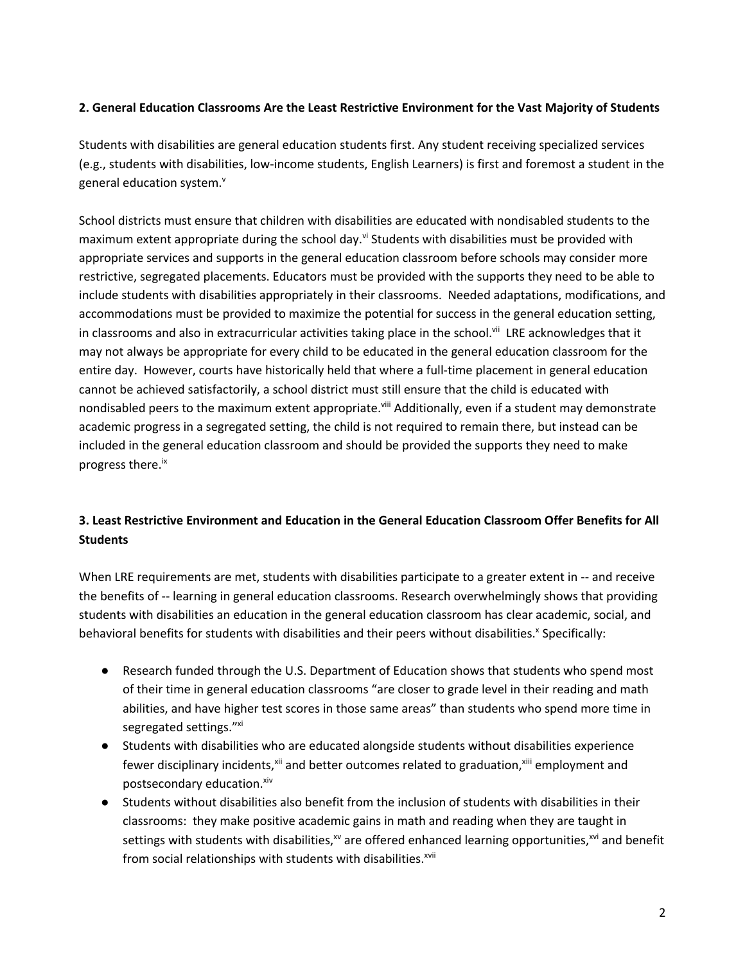## **2. General Education Classrooms Are the Least Restrictive Environment for the Vast Majority of Students**

Students with disabilities are general education students first. Any student receiving specialized services (e.g., students with disabilities, low-income students, English Learners) is first and foremost a student in the general education system.<sup>v</sup>

School districts must ensure that children with disabilities are educated with nondisabled students to the maximum extent appropriate during the school day.<sup>vi</sup> Students with disabilities must be provided with appropriate services and supports in the general education classroom before schools may consider more restrictive, segregated placements. Educators must be provided with the supports they need to be able to include students with disabilities appropriately in their classrooms. Needed adaptations, modifications, and accommodations must be provided to maximize the potential for success in the general education setting, in classrooms and also in extracurricular activities taking place in the school.<sup>vii</sup> LRE acknowledges that it may not always be appropriate for every child to be educated in the general education classroom for the entire day. However, courts have historically held that where a full-time placement in general education cannot be achieved satisfactorily, a school district must still ensure that the child is educated with nondisabled peers to the maximum extent appropriate.<sup>viii</sup> Additionally, even if a student may demonstrate academic progress in a segregated setting, the child is not required to remain there, but instead can be included in the general education classroom and should be provided the supports they need to make progress there.<sup>ix</sup>

# **3. Least Restrictive Environment and Education in the General Education Classroom Offer Benefits for All Students**

When LRE requirements are met, students with disabilities participate to a greater extent in -- and receive the benefits of -- learning in general education classrooms. Research overwhelmingly shows that providing students with disabilities an education in the general education classroom has clear academic, social, and behavioral benefits for students with disabilities and their peers without disabilities.<sup>x</sup> Specifically:

- Research funded through the U.S. Department of Education shows that students who spend most of their time in general education classrooms "are closer to grade level in their reading and math abilities, and have higher test scores in those same areas" than students who spend more time in segregated settings."xi
- Students with disabilities who are educated alongside students without disabilities experience fewer disciplinary incidents,<sup>xii</sup> and better outcomes related to graduation,<sup>xiii</sup> employment and postsecondary education. xiv
- Students without disabilities also benefit from the inclusion of students with disabilities in their classrooms: they make positive academic gains in math and reading when they are taught in settings with students with disabilities, $x^N$  are offered enhanced learning opportunities, $x^{Ni}$  and benefit from social relationships with students with disabilities.<sup>xvii</sup>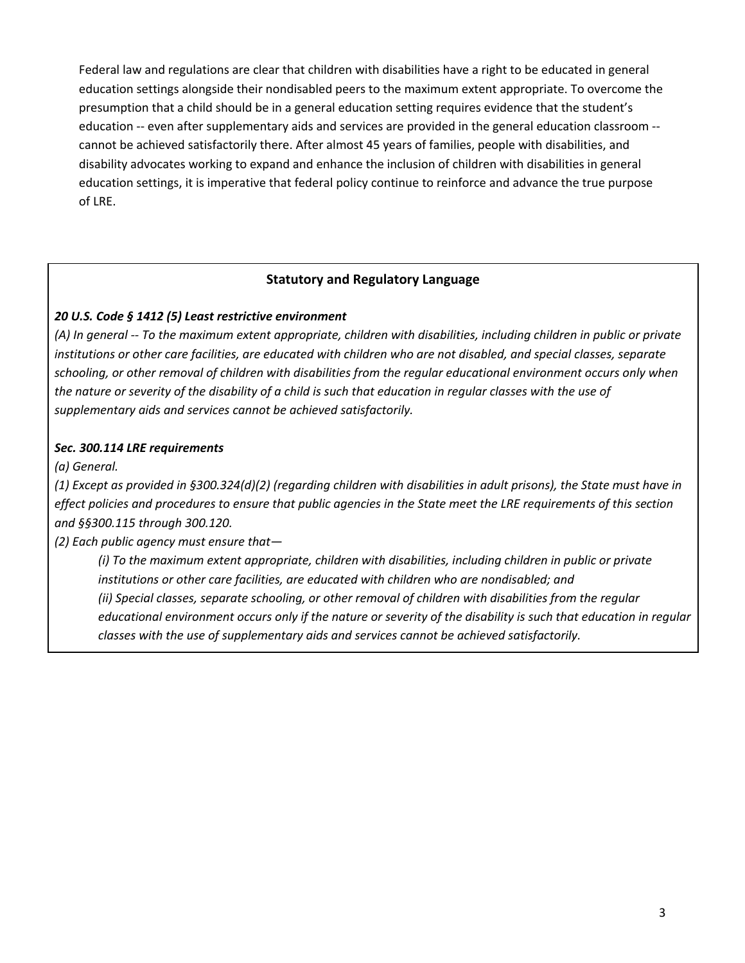Federal law and regulations are clear that children with disabilities have a right to be educated in general education settings alongside their nondisabled peers to the maximum extent appropriate. To overcome the presumption that a child should be in a general education setting requires evidence that the student's education -- even after supplementary aids and services are provided in the general education classroom - cannot be achieved satisfactorily there. After almost 45 years of families, people with disabilities, and disability advocates working to expand and enhance the inclusion of children with disabilities in general education settings, it is imperative that federal policy continue to reinforce and advance the true purpose of LRE.

### **Statutory and Regulatory Language**

### *20 U.S. Code § 1412 (5) Least restrictive environment*

*(A) In general -- To the maximum extent appropriate, children with disabilities, including children in public or private institutions or other care facilities, are educated with children who are not disabled, and special classes, separate schooling, or other removal of children with disabilities from the regular educational environment occurs only when the nature or severity of the disability of a child is such that education in regular classes with the use of supplementary aids and services cannot be achieved satisfactorily.*

#### *Sec. 300.114 LRE requirements*

*(a) General.*

*(1) Except as provided in §300.324(d)(2) (regarding children with disabilities in adult prisons), the State must have in effect policies and procedures to ensure that public agencies in the State meet the LRE requirements of this section and §§300.115 through 300.120.*

*(2) Each public agency must ensure that—*

*(i) To the maximum extent appropriate, children with disabilities, including children in public or private institutions or other care facilities, are educated with children who are nondisabled; and (ii) Special classes, separate schooling, or other removal of children with disabilities from the regular educational environment occurs only if the nature or severity of the disability is such that education in regular classes with the use of supplementary aids and services cannot be achieved satisfactorily.*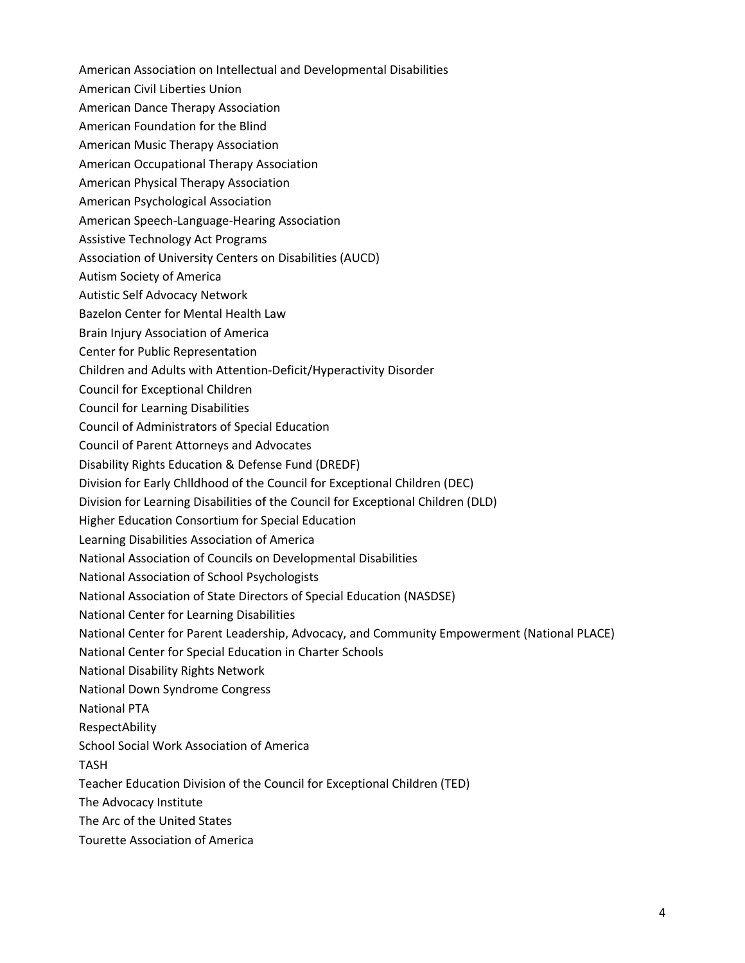- American Association on Intellectual and Developmental Disabilities
- American Civil Liberties Union
- American Dance Therapy Association
- American Foundation for the Blind
- American Music Therapy Association
- American Occupational Therapy Association
- American Physical Therapy Association
- American Psychological Association
- American Speech-Language-Hearing Association
- Assistive Technology Act Programs
- Association of University Centers on Disabilities (AUCD)
- Autism Society of America
- Autistic Self Advocacy Network
- Bazelon Center for Mental Health Law
- Brain Injury Association of America
- Center for Public Representation
- Children and Adults with Attention-Deficit/Hyperactivity Disorder
- Council for Exceptional Children
- Council for Learning Disabilities
- Council of Administrators of Special Education
- Council of Parent Attorneys and Advocates
- Disability Rights Education & Defense Fund (DREDF)
- Division for Early Chlldhood of the Council for Exceptional Children (DEC)
- Division for Learning Disabilities of the Council for Exceptional Children (DLD)
- Higher Education Consortium for Special Education
- Learning Disabilities Association of America
- National Association of Councils on Developmental Disabilities
- National Association of School Psychologists
- National Association of State Directors of Special Education (NASDSE)
- National Center for Learning Disabilities
- National Center for Parent Leadership, Advocacy, and Community Empowerment (National PLACE)
- National Center for Special Education in Charter Schools
- National Disability Rights Network
- National Down Syndrome Congress
- National PTA
- RespectAbility
- School Social Work Association of America

TASH

Teacher Education Division of the Council for Exceptional Children (TED)

The Advocacy Institute

- The Arc of the United States
- Tourette Association of America